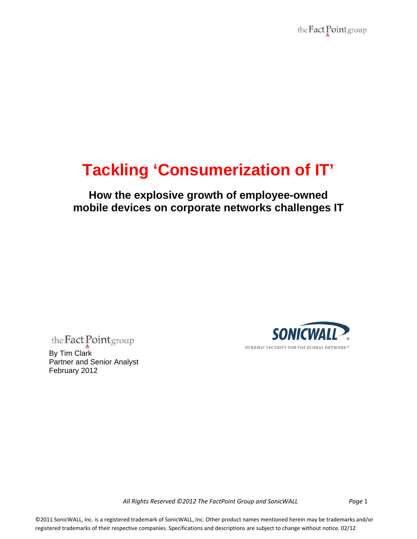the Fact Point group

# **Tackling 'Consumerization of IT'**

**How the explosive growth of employee-owned mobile devices on corporate networks challenges IT** 

the **Fact** Point group<br>By Tim Clark

Partner and Senior Analyst February 2012



All Rights Reserved ©2012 The FactPoint Group and SonicWALL Page 1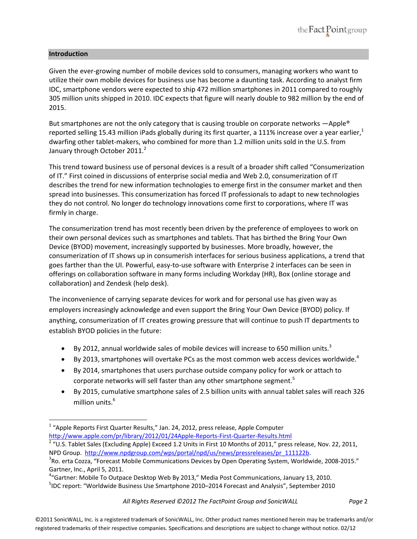# **Introduction**

Given the ever‐growing number of mobile devices sold to consumers, managing workers who want to utilize their own mobile devices for business use has become a daunting task. According to analyst firm IDC, smartphone vendors were expected to ship 472 million smartphones in 2011 compared to roughly 305 million units shipped in 2010. IDC expects that figure will nearly double to 982 million by the end of 2015.

But smartphones are not the only category that is causing trouble on corporate networks  $\rightarrow$  Apple® reported selling 15.43 million iPads globally during its first quarter, a 111% increase over a year earlier, $1$ dwarfing other tablet-makers, who combined for more than 1.2 million units sold in the U.S. from January through October 2011.<sup>2</sup>

This trend toward business use of personal devices is a result of a broader shift called "Consumerization of IT." First coined in discussions of enterprise social media and Web 2.0, consumerization of IT describes the trend for new information technologies to emerge first in the consumer market and then spread into businesses. This consumerization has forced IT professionals to adapt to new technologies they do not control. No longer do technology innovations come first to corporations, where IT was firmly in charge.

The consumerization trend has most recently been driven by the preference of employees to work on their own personal devices such as smartphones and tablets. That has birthed the Bring Your Own Device (BYOD) movement, increasingly supported by businesses. More broadly, however, the consumerization of IT shows up in consumerish interfaces for serious business applications, a trend that goes farther than the UI. Powerful, easy-to-use software with Enterprise 2 interfaces can be seen in offerings on collaboration software in many forms including Workday (HR), Box (online storage and collaboration) and Zendesk (help desk).

The inconvenience of carrying separate devices for work and for personal use has given way as employers increasingly acknowledge and even support the Bring Your Own Device (BYOD) policy. If anything, consumerization of IT creates growing pressure that will continue to push IT departments to establish BYOD policies in the future:

- By 2012, annual worldwide sales of mobile devices will increase to 650 million units.<sup>3</sup>
- $\bullet$  By 2013, smartphones will overtake PCs as the most common web access devices worldwide.<sup>4</sup>
- By 2014, smartphones that users purchase outside company policy for work or attach to corporate networks will sell faster than any other smartphone segment.<sup>5</sup>
- By 2015, cumulative smartphone sales of 2.5 billion units with annual tablet sales will reach 326 million units.<sup>6</sup>

 $1$  "Apple Reports First Quarter Results," Jan. 24, 2012, press release, Apple Computer

http://www.apple.com/pr/library/2012/01/24Apple-Reports-First-Quarter-Results.html<br><sup>2</sup> "U.S. Tablet Sales (Excluding Apple) Exceed 1.2 Units in First 10 Months of 2011," press release, Nov. 22, 2011, NPD Group. http://www.npdgroup.com/wps/portal/npd/us/news/pressreleases/pr\_111122b.

 $R^3$ Ro. erta Cozza, "Forecast Mobile Communications Devices by Open Operating System, Worldwide, 2008-2015." Gartner, Inc., April 5, 2011. <sup>4</sup>

 $4\degree$ Gartner: Mobile To Outpace Desktop Web By 2013," Media Post Communications, January 13, 2010. <sup>5</sup>IDC report: "Worldwide Business Use Smartphone 2010–2014 Forecast and Analysis", September 2010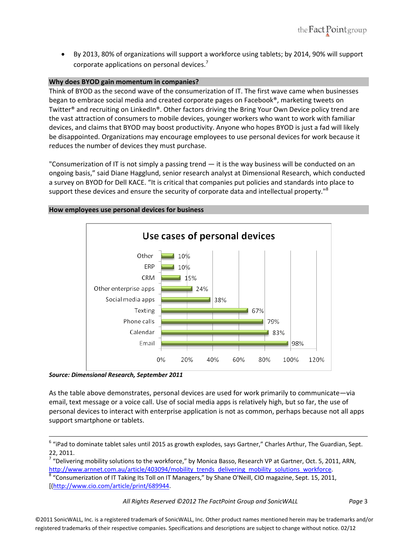By 2013, 80% of organizations will support a workforce using tablets; by 2014, 90% will support corporate applications on personal devices.<sup>7</sup>

## **Why does BYOD gain momentum in companies?**

Think of BYOD as the second wave of the consumerization of IT. The first wave came when businesses began to embrace social media and created corporate pages on Facebook®, marketing tweets on Twitter® and recruiting on LinkedIn®. Other factors driving the Bring Your Own Device policy trend are the vast attraction of consumers to mobile devices, younger workers who want to work with familiar devices, and claims that BYOD may boost productivity. Anyone who hopes BYOD is just a fad will likely be disappointed. Organizations may encourage employees to use personal devices for work because it reduces the number of devices they must purchase.

"Consumerization of IT is not simply a passing trend  $-$  it is the way business will be conducted on an ongoing basis," said Diane Hagglund, senior research analyst at Dimensional Research, which conducted a survey on BYOD for Dell KACE. "It is critical that companies put policies and standards into place to support these devices and ensure the security of corporate data and intellectual property."<sup>8</sup>



## **How employees use personal devices for business**

*Source: Dimensional Research, September 2011*

As the table above demonstrates, personal devices are used for work primarily to communicate—via email, text message or a voice call. Use of social media apps is relatively high, but so far, the use of personal devices to interact with enterprise application is not as common, perhaps because not all apps support smartphone or tablets.

All Rights Reserved ©2012 The FactPoint Group and SonicWALL Page 3

 $6$  "iPad to dominate tablet sales until 2015 as growth explodes, says Gartner," Charles Arthur, The Guardian, Sept. 22, 2011.<br><sup>7</sup> "Delivering mobility solutions to the workforce," by Monica Basso, Research VP at Gartner, Oct. 5, 2011, ARN,

http://www.arnnet.com.au/article/403094/mobility\_trends\_delivering\_mobility\_solutions\_workforce. 8 "Consumerization of IT Taking Its Toll on IT Managers," by Shane O'Neill, CIO magazine, Sept. 15, 2011,

<sup>[(</sup>http://www.cio.com/article/print/689944.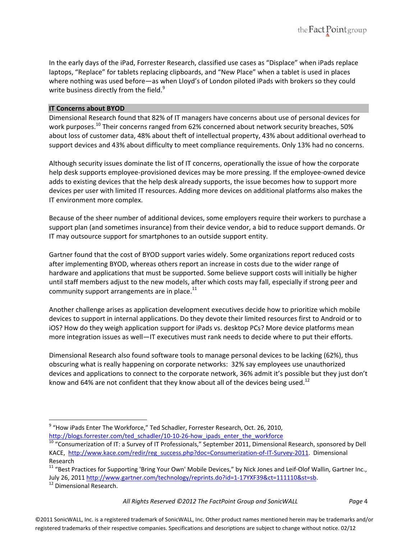In the early days of the iPad, Forrester Research, classified use cases as "Displace" when iPads replace laptops, "Replace" for tablets replacing clipboards, and "New Place" when a tablet is used in places where nothing was used before—as when Lloyd's of London piloted iPads with brokers so they could write business directly from the field.<sup>9</sup>

# **IT Concerns about BYOD**

Dimensional Research found that 82% of IT managers have concerns about use of personal devices for work purposes.<sup>10</sup> Their concerns ranged from 62% concerned about network security breaches, 50% about loss of customer data, 48% about theft of intellectual property, 43% about additional overhead to support devices and 43% about difficulty to meet compliance requirements. Only 13% had no concerns.

Although security issues dominate the list of IT concerns, operationally the issue of how the corporate help desk supports employee-provisioned devices may be more pressing. If the employee-owned device adds to existing devices that the help desk already supports, the issue becomes how to support more devices per user with limited IT resources. Adding more devices on additional platforms also makes the IT environment more complex.

Because of the sheer number of additional devices, some employers require their workers to purchase a support plan (and sometimes insurance) from their device vendor, a bid to reduce support demands. Or IT may outsource support for smartphones to an outside support entity.

Gartner found that the cost of BYOD support varies widely. Some organizations report reduced costs after implementing BYOD, whereas others report an increase in costs due to the wider range of hardware and applications that must be supported. Some believe support costs will initially be higher until staff members adjust to the new models, after which costs may fall, especially if strong peer and community support arrangements are in place. $^{11}$ 

Another challenge arises as application development executives decide how to prioritize which mobile devices to support in internal applications. Do they devote their limited resources first to Android or to iOS? How do they weigh application support for iPads vs. desktop PCs? More device platforms mean more integration issues as well—IT executives must rank needs to decide where to put their efforts.

Dimensional Research also found software tools to manage personal devices to be lacking (62%), thus obscuring what is really happening on corporate networks: 32% say employees use unauthorized devices and applications to connect to the corporate network, 36% admit it's possible but they just don't know and 64% are not confident that they know about all of the devices being used.<sup>12</sup>

 $^9$  "How iPads Enter The Workforce," Ted Schadler, Forrester Research, Oct. 26, 2010,

http://blogs.forrester.com/ted\_schadler/10-10-26-how\_ipads\_enter\_the\_workforce 10 "Consumerization of IT: a Survey of IT Professionals," September 2011, Dimensional Research, sponsored by Dell KACE, http://www.kace.com/redir/reg\_success.php?doc=Consumerization-of-IT-Survey-2011. Dimensional Research

<sup>&</sup>lt;sup>11</sup> "Best Practices for Supporting 'Bring Your Own' Mobile Devices," by Nick Jones and Leif-Olof Wallin, Gartner Inc., July 26, 2011 http://www.gartner.com/technology/reprints.do?id=1-17YXF39&ct=111110&st=sb. <sup>12</sup> Dimensional Research.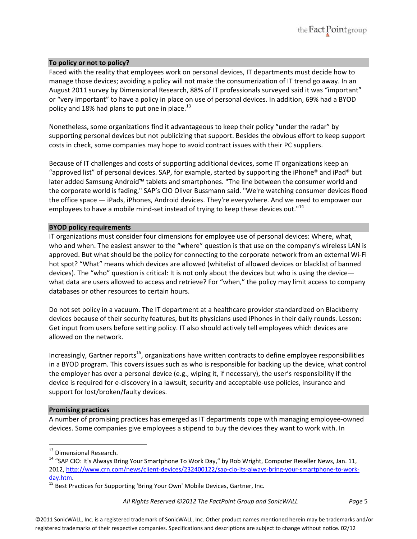

## **To policy or not to policy?**

Faced with the reality that employees work on personal devices, IT departments must decide how to manage those devices; avoiding a policy will not make the consumerization of IT trend go away. In an August 2011 survey by Dimensional Research, 88% of IT professionals surveyed said it was "important" or "very important" to have a policy in place on use of personal devices. In addition, 69% had a BYOD policy and 18% had plans to put one in place. $^{13}$ 

Nonetheless, some organizations find it advantageous to keep their policy "under the radar" by supporting personal devices but not publicizing that support. Besides the obvious effort to keep support costs in check, some companies may hope to avoid contract issues with their PC suppliers.

Because of IT challenges and costs of supporting additional devices, some IT organizations keep an "approved list" of personal devices. SAP, for example, started by supporting the iPhone® and iPad® but later added Samsung Android™ tablets and smartphones. "The line between the consumer world and the corporate world is fading," SAP's CIO Oliver Bussmann said. "We're watching consumer devices flood the office space — iPads, iPhones, Android devices. They're everywhere. And we need to empower our employees to have a mobile mind-set instead of trying to keep these devices out."<sup>14</sup>

## **BYOD policy requirements**

IT organizations must consider four dimensions for employee use of personal devices: Where, what, who and when. The easiest answer to the "where" question is that use on the company's wireless LAN is approved. But what should be the policy for connecting to the corporate network from an external Wi‐Fi hot spot? "What" means which devices are allowed (whitelist of allowed devices or blacklist of banned devices). The "who" question is critical: It is not only about the devices but who is using the device what data are users allowed to access and retrieve? For "when," the policy may limit access to company databases or other resources to certain hours.

Do not set policy in a vacuum. The IT department at a healthcare provider standardized on Blackberry devices because of their security features, but its physicians used iPhones in their daily rounds. Lesson: Get input from users before setting policy. IT also should actively tell employees which devices are allowed on the network.

Increasingly, Gartner reports<sup>15</sup>, organizations have written contracts to define employee responsibilities in a BYOD program. This covers issues such as who is responsible for backing up the device, what control the employer has over a personal device (e.g., wiping it, if necessary), the user's responsibility if the device is required for e‐discovery in a lawsuit, security and acceptable‐use policies, insurance and support for lost/broken/faulty devices.

#### **Promising practices**

A number of promising practices has emerged as IT departments cope with managing employee‐owned devices. Some companies give employees a stipend to buy the devices they want to work with. In

<sup>&</sup>lt;sup>13</sup> Dimensional Research.<br><sup>14</sup> "SAP CIO: It's Always Bring Your Smartphone To Work Day," by Rob Wright, Computer Reseller News, Jan. 11, 2012, http://www.crn.com/news/client-devices/232400122/sap-cio-its-always-bring-your-smartphone-to-work-

day.htm.<br><sup>15</sup> Best Practices for Supporting 'Bring Your Own' Mobile Devices, Gartner, Inc.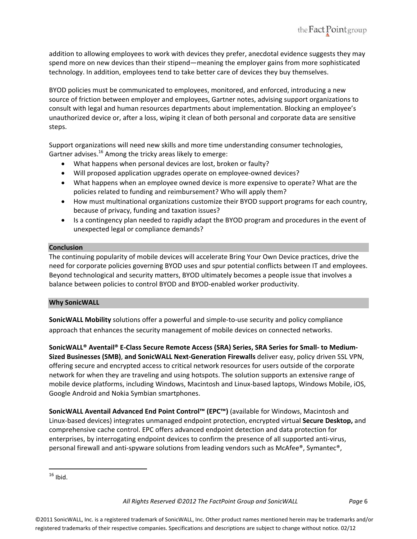addition to allowing employees to work with devices they prefer, anecdotal evidence suggests they may spend more on new devices than their stipend—meaning the employer gains from more sophisticated technology. In addition, employees tend to take better care of devices they buy themselves.

BYOD policies must be communicated to employees, monitored, and enforced, introducing a new source of friction between employer and employees, Gartner notes, advising support organizations to consult with legal and human resources departments about implementation. Blocking an employee's unauthorized device or, after a loss, wiping it clean of both personal and corporate data are sensitive steps.

Support organizations will need new skills and more time understanding consumer technologies, Gartner advises. $^{16}$  Among the tricky areas likely to emerge:

- What happens when personal devices are lost, broken or faulty?
- Will proposed application upgrades operate on employee-owned devices?
- What happens when an employee owned device is more expensive to operate? What are the policies related to funding and reimbursement? Who will apply them?
- How must multinational organizations customize their BYOD support programs for each country, because of privacy, funding and taxation issues?
- Is a contingency plan needed to rapidly adapt the BYOD program and procedures in the event of unexpected legal or compliance demands?

# **Conclusion**

The continuing popularity of mobile devices will accelerate Bring Your Own Device practices, drive the need for corporate policies governing BYOD uses and spur potential conflicts between IT and employees. Beyond technological and security matters, BYOD ultimately becomes a people issue that involves a balance between policies to control BYOD and BYOD‐enabled worker productivity.

#### **Why SonicWALL**

**SonicWALL Mobility** solutions offer a powerful and simple‐to‐use security and policy compliance approach that enhances the security management of mobile devices on connected networks.

**SonicWALL® Aventail® E‐Class Secure Remote Access (SRA) Series, SRA Series for Small‐ to Medium‐ Sized Businesses (SMB)**, **and SonicWALL Next‐Generation Firewalls** deliver easy, policy driven SSL VPN, offering secure and encrypted access to critical network resources for users outside of the corporate network for when they are traveling and using hotspots. The solution supports an extensive range of mobile device platforms, including Windows, Macintosh and Linux‐based laptops, Windows Mobile, iOS, Google Android and Nokia Symbian smartphones.

**SonicWALL Aventail Advanced End Point Control™ (EPC™)** (available for Windows, Macintosh and Linux‐based devices) integrates unmanaged endpoint protection, encrypted virtual **Secure Desktop,** and comprehensive cache control. EPC offers advanced endpoint detection and data protection for enterprises, by interrogating endpoint devices to confirm the presence of all supported anti-virus, personal firewall and anti-spyware solutions from leading vendors such as McAfee®, Symantec®,

 $16$  Ibid.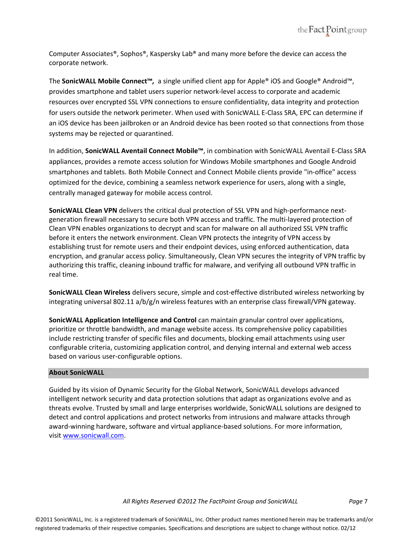

Computer Associates®, Sophos®, Kaspersky Lab® and many more before the device can access the corporate network.

The **SonicWALL Mobile Connect™***,* a single unified client app for Apple® iOS and Google® Android™, provides smartphone and tablet users superior network‐level access to corporate and academic resources over encrypted SSL VPN connections to ensure confidentiality, data integrity and protection for users outside the network perimeter. When used with SonicWALL E‐Class SRA, EPC can determine if an iOS device has been jailbroken or an Android device has been rooted so that connections from those systems may be rejected or quarantined.

In addition, **SonicWALL Aventail Connect Mobile™**, in combination with SonicWALL Aventail E‐Class SRA appliances, provides a remote access solution for Windows Mobile smartphones and Google Android smartphones and tablets. Both Mobile Connect and Connect Mobile clients provide "in‐office" access optimized for the device, combining a seamless network experience for users, along with a single, centrally managed gateway for mobile access control.

**SonicWALL Clean VPN** delivers the critical dual protection of SSL VPN and high‐performance next‐ generation firewall necessary to secure both VPN access and traffic. The multi‐layered protection of Clean VPN enables organizations to decrypt and scan for malware on all authorized SSL VPN traffic before it enters the network environment. Clean VPN protects the integrity of VPN access by establishing trust for remote users and their endpoint devices, using enforced authentication, data encryption, and granular access policy. Simultaneously, Clean VPN secures the integrity of VPN traffic by authorizing this traffic, cleaning inbound traffic for malware, and verifying all outbound VPN traffic in real time.

**SonicWALL Clean Wireless** delivers secure, simple and cost‐effective distributed wireless networking by integrating universal 802.11 a/b/g/n wireless features with an enterprise class firewall/VPN gateway.

**SonicWALL Application Intelligence and Control** can maintain granular control over applications, prioritize or throttle bandwidth, and manage website access. Its comprehensive policy capabilities include restricting transfer of specific files and documents, blocking email attachments using user configurable criteria, customizing application control, and denying internal and external web access based on various user‐configurable options.

#### **About SonicWALL**

Guided by its vision of Dynamic Security for the Global Network, SonicWALL develops advanced intelligent network security and data protection solutions that adapt as organizations evolve and as threats evolve. Trusted by small and large enterprises worldwide, SonicWALL solutions are designed to detect and control applications and protect networks from intrusions and malware attacks through award‐winning hardware, software and virtual appliance‐based solutions. For more information, visit www.sonicwall.com.

All Rights Reserved ©2012 The FactPoint Group and SonicWALL Page 7